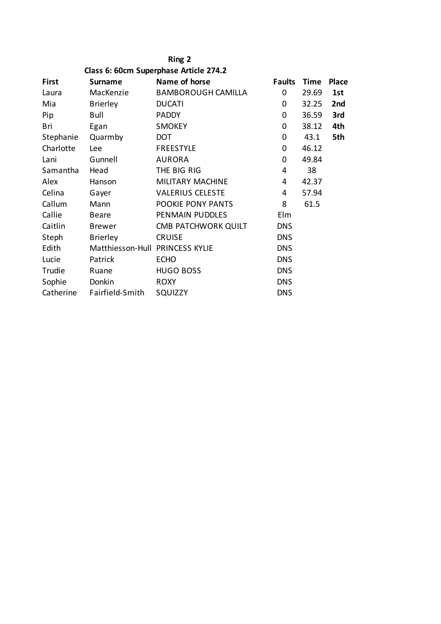## **Ring 2**

|  |  | Class 6: 60cm Superphase Article 274.2 |  |  |
|--|--|----------------------------------------|--|--|
|--|--|----------------------------------------|--|--|

| <b>First</b> | <b>Surname</b>                  | Name of horse             | <b>Faults</b>  | <b>Time</b> | <b>Place</b> |
|--------------|---------------------------------|---------------------------|----------------|-------------|--------------|
| Laura        | MacKenzie                       | <b>BAMBOROUGH CAMILLA</b> | 0              | 29.69       | 1st          |
| Mia          | <b>Brierley</b>                 | <b>DUCATI</b>             | 0              | 32.25       | 2nd          |
| Pip          | Bull                            | <b>PADDY</b>              | 0              | 36.59       | 3rd          |
| Bri          | Egan                            | <b>SMOKEY</b>             | 0              | 38.12       | 4th          |
| Stephanie    | Quarmby                         | DOT                       | 0              | 43.1        | 5th          |
| Charlotte    | Lee                             | <b>FREESTYLE</b>          | 0              | 46.12       |              |
| Lani         | Gunnell                         | <b>AURORA</b>             | 0              | 49.84       |              |
| Samantha     | Head                            | THE BIG RIG               | 4              | 38          |              |
| Alex         | Hanson                          | <b>MILITARY MACHINE</b>   | $\overline{4}$ | 42.37       |              |
| Celina       | Gayer                           | <b>VALERIUS CELESTE</b>   | 4              | 57.94       |              |
| Callum       | Mann                            | POOKIE PONY PANTS         | 8              | 61.5        |              |
| Callie       | <b>Beare</b>                    | PENMAIN PUDDLES           | Elm            |             |              |
| Caitlin      | <b>Brewer</b>                   | CMB PATCHWORK QUILT       | <b>DNS</b>     |             |              |
| Steph        | <b>Brierley</b>                 | <b>CRUISE</b>             | <b>DNS</b>     |             |              |
| Edith        | Matthiesson-Hull PRINCESS KYLIE |                           | <b>DNS</b>     |             |              |
| Lucie        | Patrick                         | <b>ECHO</b>               | <b>DNS</b>     |             |              |
| Trudie       | Ruane                           | <b>HUGO BOSS</b>          | <b>DNS</b>     |             |              |
| Sophie       | Donkin                          | <b>ROXY</b>               | <b>DNS</b>     |             |              |
| Catherine    | Fairfield-Smith                 | SQUIZZY                   | <b>DNS</b>     |             |              |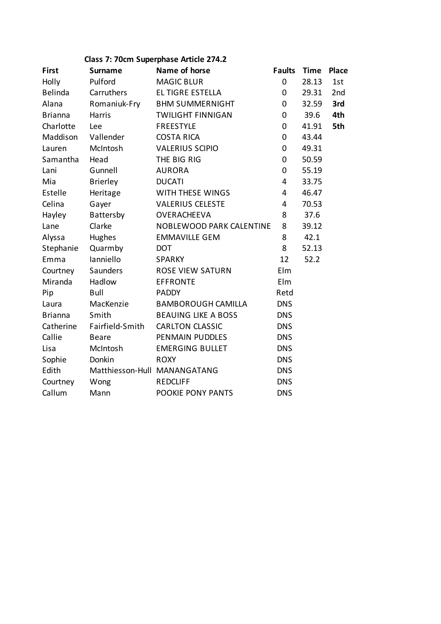# **Class 7: 70cm Superphase Article 274.2**

| <b>First</b>   | <b>Surname</b>  | Name of horse                   | <b>Faults</b>  | <b>Time</b> | <b>Place</b> |
|----------------|-----------------|---------------------------------|----------------|-------------|--------------|
| Holly          | Pulford         | <b>MAGIC BLUR</b>               | $\mathbf 0$    | 28.13       | 1st          |
| Belinda        | Carruthers      | EL TIGRE ESTELLA                | $\mathbf 0$    | 29.31       | 2nd          |
| Alana          | Romaniuk-Fry    | <b>BHM SUMMERNIGHT</b>          | $\mathbf 0$    | 32.59       | 3rd          |
| <b>Brianna</b> | Harris          | <b>TWILIGHT FINNIGAN</b>        | $\mathbf 0$    | 39.6        | 4th          |
| Charlotte      | Lee             | <b>FREESTYLE</b>                | 0              | 41.91       | 5th          |
| Maddison       | Vallender       | <b>COSTA RICA</b>               | 0              | 43.44       |              |
| Lauren         | McIntosh        | <b>VALERIUS SCIPIO</b>          | 0              | 49.31       |              |
| Samantha       | Head            | THE BIG RIG                     | 0              | 50.59       |              |
| Lani           | Gunnell         | <b>AURORA</b>                   | 0              | 55.19       |              |
| Mia            | <b>Brierley</b> | <b>DUCATI</b>                   | $\overline{4}$ | 33.75       |              |
| Estelle        | Heritage        | WITH THESE WINGS                | $\overline{4}$ | 46.47       |              |
| Celina         | Gayer           | <b>VALERIUS CELESTE</b>         | $\overline{4}$ | 70.53       |              |
| Hayley         | Battersby       | OVERACHEEVA                     | 8              | 37.6        |              |
| Lane           | Clarke          | <b>NOBLEWOOD PARK CALENTINE</b> | 8              | 39.12       |              |
| Alyssa         | Hughes          | <b>EMMAVILLE GEM</b>            | 8              | 42.1        |              |
| Stephanie      | Quarmby         | <b>DOT</b>                      | 8              | 52.13       |              |
| Emma           | lanniello       | <b>SPARKY</b>                   | 12             | 52.2        |              |
| Courtney       | Saunders        | <b>ROSE VIEW SATURN</b>         | Elm            |             |              |
| Miranda        | Hadlow          | <b>EFFRONTE</b>                 | Elm            |             |              |
| Pip            | Bull            | <b>PADDY</b>                    | Retd           |             |              |
| Laura          | MacKenzie       | <b>BAMBOROUGH CAMILLA</b>       | <b>DNS</b>     |             |              |
| <b>Brianna</b> | Smith           | <b>BEAUING LIKE A BOSS</b>      | <b>DNS</b>     |             |              |
| Catherine      | Fairfield-Smith | <b>CARLTON CLASSIC</b>          | <b>DNS</b>     |             |              |
| Callie         | <b>Beare</b>    | PENMAIN PUDDLES                 | <b>DNS</b>     |             |              |
| Lisa           | McIntosh        | <b>EMERGING BULLET</b>          | <b>DNS</b>     |             |              |
| Sophie         | Donkin          | <b>ROXY</b>                     | <b>DNS</b>     |             |              |
| Edith          |                 | Matthiesson-Hull MANANGATANG    | <b>DNS</b>     |             |              |
| Courtney       | Wong            | <b>REDCLIFF</b>                 | <b>DNS</b>     |             |              |
| Callum         | Mann            | POOKIE PONY PANTS               | <b>DNS</b>     |             |              |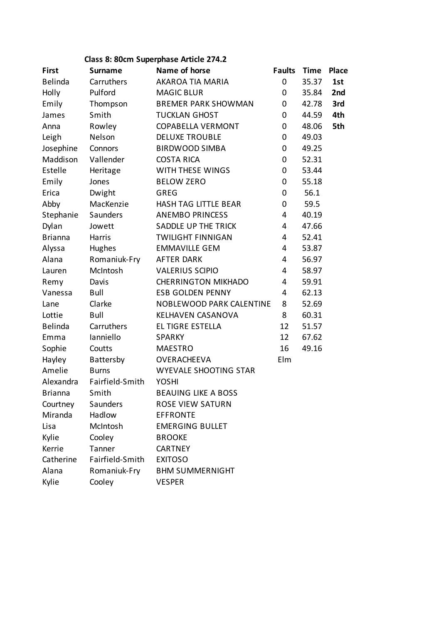# **Class 8: 80cm Superphase Article 274.2**

| <b>First</b>   | <b>Surname</b>   | Name of horse                   | <b>Faults</b>  | <b>Time</b> | Place |
|----------------|------------------|---------------------------------|----------------|-------------|-------|
| Belinda        | Carruthers       | AKAROA TIA MARIA                | 0              | 35.37       | 1st   |
| Holly          | Pulford          | <b>MAGIC BLUR</b>               | 0              | 35.84       | 2nd   |
| Emily          | Thompson         | <b>BREMER PARK SHOWMAN</b>      | 0              | 42.78       | 3rd   |
| James          | Smith            | <b>TUCKLAN GHOST</b>            | $\mathbf 0$    | 44.59       | 4th   |
| Anna           | Rowley           | <b>COPABELLA VERMONT</b>        | 0              | 48.06       | 5th   |
| Leigh          | Nelson           | <b>DELUXE TROUBLE</b>           | 0              | 49.03       |       |
| Josephine      | Connors          | <b>BIRDWOOD SIMBA</b>           | 0              | 49.25       |       |
| Maddison       | Vallender        | <b>COSTA RICA</b>               | 0              | 52.31       |       |
| Estelle        | Heritage         | WITH THESE WINGS                | 0              | 53.44       |       |
| Emily          | Jones            | <b>BELOW ZERO</b>               | 0              | 55.18       |       |
| Erica          | Dwight           | <b>GREG</b>                     | 0              | 56.1        |       |
| Abby           | MacKenzie        | HASH TAG LITTLE BEAR            | 0              | 59.5        |       |
| Stephanie      | Saunders         | <b>ANEMBO PRINCESS</b>          | $\overline{4}$ | 40.19       |       |
| Dylan          | Jowett           | SADDLE UP THE TRICK             | $\overline{4}$ | 47.66       |       |
| <b>Brianna</b> | Harris           | <b>TWILIGHT FINNIGAN</b>        | $\overline{4}$ | 52.41       |       |
| Alyssa         | Hughes           | <b>EMMAVILLE GEM</b>            | $\overline{4}$ | 53.87       |       |
| Alana          | Romaniuk-Fry     | <b>AFTER DARK</b>               | 4              | 56.97       |       |
| Lauren         | McIntosh         | <b>VALERIUS SCIPIO</b>          | $\overline{4}$ | 58.97       |       |
| Remy           | Davis            | <b>CHERRINGTON MIKHADO</b>      | 4              | 59.91       |       |
| Vanessa        | Bull             | <b>ESB GOLDEN PENNY</b>         | 4              | 62.13       |       |
| Lane           | Clarke           | <b>NOBLEWOOD PARK CALENTINE</b> | 8              | 52.69       |       |
| Lottie         | <b>Bull</b>      | KELHAVEN CASANOVA               | 8              | 60.31       |       |
| <b>Belinda</b> | Carruthers       | EL TIGRE ESTELLA                | 12             | 51.57       |       |
| Emma           | Ianniello        | <b>SPARKY</b>                   | 12             | 67.62       |       |
| Sophie         | Coutts           | <b>MAESTRO</b>                  | 16             | 49.16       |       |
| Hayley         | <b>Battersby</b> | <b>OVERACHEEVA</b>              | Elm            |             |       |
| Amelie         | <b>Burns</b>     | WYEVALE SHOOTING STAR           |                |             |       |
| Alexandra      | Fairfield-Smith  | <b>YOSHI</b>                    |                |             |       |
| <b>Brianna</b> | Smith            | <b>BEAUING LIKE A BOSS</b>      |                |             |       |
| Courtney       | Saunders         | <b>ROSE VIEW SATURN</b>         |                |             |       |
| Miranda        | Hadlow           | <b>EFFRONTE</b>                 |                |             |       |
| Lisa           | McIntosh         | <b>EMERGING BULLET</b>          |                |             |       |
| Kylie          | Cooley           | <b>BROOKE</b>                   |                |             |       |
| Kerrie         | Tanner           | <b>CARTNEY</b>                  |                |             |       |
| Catherine      | Fairfield-Smith  | <b>EXITOSO</b>                  |                |             |       |
| Alana          | Romaniuk-Fry     | <b>BHM SUMMERNIGHT</b>          |                |             |       |
| Kylie          | Cooley           | <b>VESPER</b>                   |                |             |       |